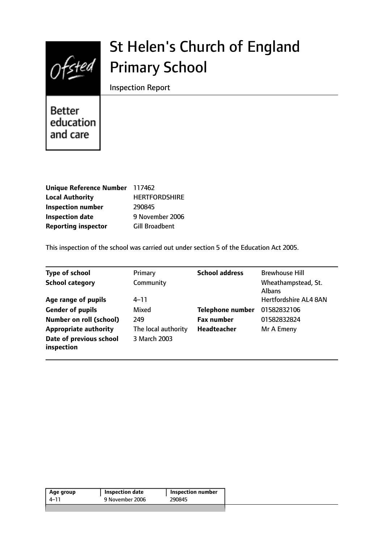

# St Helen's Church of England Primary School

Inspection Report

Better education and care

| Unique Reference Number 117462 |                       |
|--------------------------------|-----------------------|
| <b>Local Authority</b>         | <b>HERTFORDSHIRE</b>  |
| <b>Inspection number</b>       | 290845                |
| <b>Inspection date</b>         | 9 November 2006       |
| <b>Reporting inspector</b>     | <b>Gill Broadbent</b> |

This inspection of the school was carried out under section 5 of the Education Act 2005.

| <b>Type of school</b>                 | Primary             | <b>School address</b>   | <b>Brewhouse Hill</b>                |
|---------------------------------------|---------------------|-------------------------|--------------------------------------|
| <b>School category</b>                | Community           |                         | Wheathampstead, St.<br><b>Albans</b> |
| Age range of pupils                   | $4 - 11$            |                         | Hertfordshire AL4 8AN                |
| <b>Gender of pupils</b>               | Mixed               | <b>Telephone number</b> | 01582832106                          |
| <b>Number on roll (school)</b>        | 249                 | <b>Fax number</b>       | 01582832824                          |
| <b>Appropriate authority</b>          | The local authority | Headteacher             | Mr A Emeny                           |
| Date of previous school<br>inspection | 3 March 2003        |                         |                                      |

| Age group | Inspection date | <b>Inspection number</b> |
|-----------|-----------------|--------------------------|
| 4–11      | 9 November 2006 | 290845                   |
|           |                 |                          |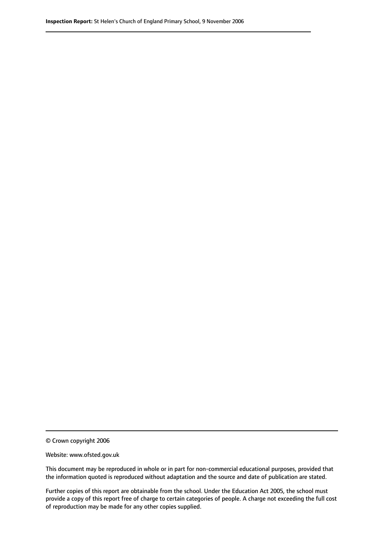© Crown copyright 2006

Website: www.ofsted.gov.uk

This document may be reproduced in whole or in part for non-commercial educational purposes, provided that the information quoted is reproduced without adaptation and the source and date of publication are stated.

Further copies of this report are obtainable from the school. Under the Education Act 2005, the school must provide a copy of this report free of charge to certain categories of people. A charge not exceeding the full cost of reproduction may be made for any other copies supplied.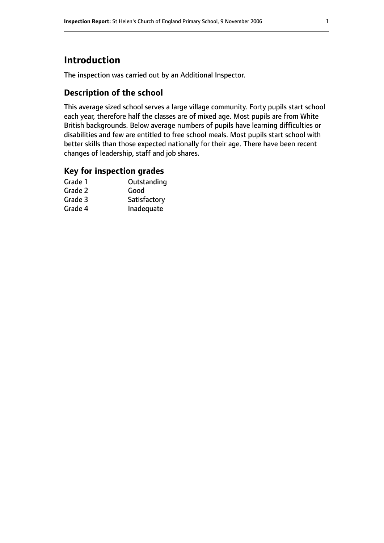# **Introduction**

The inspection was carried out by an Additional Inspector.

## **Description of the school**

This average sized school serves a large village community. Forty pupils start school each year, therefore half the classes are of mixed age. Most pupils are from White British backgrounds. Below average numbers of pupils have learning difficulties or disabilities and few are entitled to free school meals. Most pupils start school with better skills than those expected nationally for their age. There have been recent changes of leadership, staff and job shares.

#### **Key for inspection grades**

| Grade 1 | Outstanding  |
|---------|--------------|
| Grade 2 | Good         |
| Grade 3 | Satisfactory |
| Grade 4 | Inadequate   |
|         |              |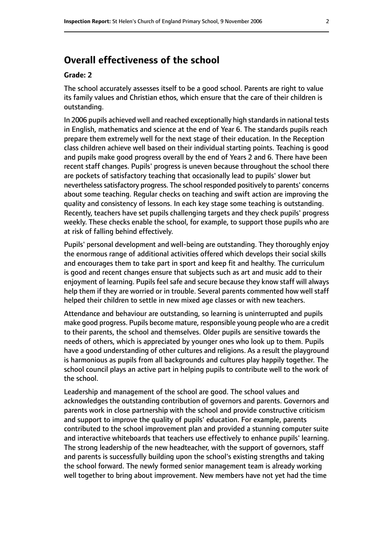## **Overall effectiveness of the school**

#### **Grade: 2**

The school accurately assesses itself to be a good school. Parents are right to value its family values and Christian ethos, which ensure that the care of their children is outstanding.

In 2006 pupils achieved well and reached exceptionally high standards in national tests in English, mathematics and science at the end of Year 6. The standards pupils reach prepare them extremely well for the next stage of their education. In the Reception class children achieve well based on their individual starting points. Teaching is good and pupils make good progress overall by the end of Years 2 and 6. There have been recent staff changes. Pupils' progress is uneven because throughout the school there are pockets of satisfactory teaching that occasionally lead to pupils' slower but nevertheless satisfactory progress. The school responded positively to parents' concerns about some teaching. Regular checks on teaching and swift action are improving the quality and consistency of lessons. In each key stage some teaching is outstanding. Recently, teachers have set pupils challenging targets and they check pupils' progress weekly. These checks enable the school, for example, to support those pupils who are at risk of falling behind effectively.

Pupils' personal development and well-being are outstanding. They thoroughly enjoy the enormous range of additional activities offered which develops their social skills and encourages them to take part in sport and keep fit and healthy. The curriculum is good and recent changes ensure that subjects such as art and music add to their enjoyment of learning. Pupils feel safe and secure because they know staff will always help them if they are worried or in trouble. Several parents commented how well staff helped their children to settle in new mixed age classes or with new teachers.

Attendance and behaviour are outstanding, so learning is uninterrupted and pupils make good progress. Pupils become mature, responsible young people who are a credit to their parents, the school and themselves. Older pupils are sensitive towards the needs of others, which is appreciated by younger ones who look up to them. Pupils have a good understanding of other cultures and religions. As a result the playground is harmonious as pupils from all backgrounds and cultures play happily together. The school council plays an active part in helping pupils to contribute well to the work of the school.

Leadership and management of the school are good. The school values and acknowledges the outstanding contribution of governors and parents. Governors and parents work in close partnership with the school and provide constructive criticism and support to improve the quality of pupils' education. For example, parents contributed to the school improvement plan and provided a stunning computer suite and interactive whiteboards that teachers use effectively to enhance pupils' learning. The strong leadership of the new headteacher, with the support of governors, staff and parents is successfully building upon the school's existing strengths and taking the school forward. The newly formed senior management team is already working well together to bring about improvement. New members have not yet had the time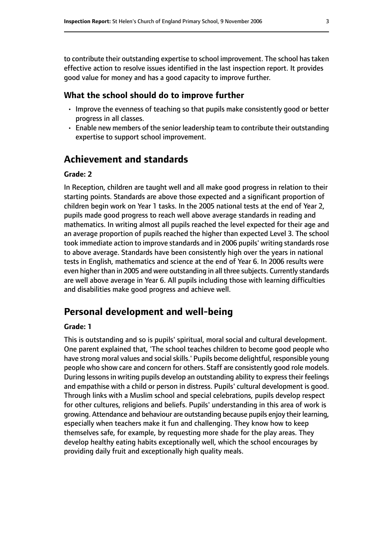to contribute their outstanding expertise to school improvement. The school hastaken effective action to resolve issues identified in the last inspection report. It provides good value for money and has a good capacity to improve further.

#### **What the school should do to improve further**

- Improve the evenness of teaching so that pupils make consistently good or better progress in all classes.
- Enable new members of the senior leadership team to contribute their outstanding expertise to support school improvement.

## **Achievement and standards**

#### **Grade: 2**

In Reception, children are taught well and all make good progress in relation to their starting points. Standards are above those expected and a significant proportion of children begin work on Year 1 tasks. In the 2005 national tests at the end of Year 2, pupils made good progress to reach well above average standards in reading and mathematics. In writing almost all pupils reached the level expected for their age and an average proportion of pupils reached the higher than expected Level 3. The school took immediate action to improve standards and in 2006 pupils' writing standards rose to above average. Standards have been consistently high over the years in national tests in English, mathematics and science at the end of Year 6. In 2006 results were even higher than in 2005 and were outstanding in all three subjects. Currently standards are well above average in Year 6. All pupils including those with learning difficulties and disabilities make good progress and achieve well.

### **Personal development and well-being**

#### **Grade: 1**

This is outstanding and so is pupils' spiritual, moral social and cultural development. One parent explained that, 'The school teaches children to become good people who have strong moral values and social skills.' Pupils become delightful, responsible young people who show care and concern for others. Staff are consistently good role models. During lessons in writing pupils develop an outstanding ability to express their feelings and empathise with a child or person in distress. Pupils' cultural development is good. Through links with a Muslim school and special celebrations, pupils develop respect for other cultures, religions and beliefs. Pupils' understanding in this area of work is growing. Attendance and behaviour are outstanding because pupils enjoy their learning, especially when teachers make it fun and challenging. They know how to keep themselves safe, for example, by requesting more shade for the play areas. They develop healthy eating habits exceptionally well, which the school encourages by providing daily fruit and exceptionally high quality meals.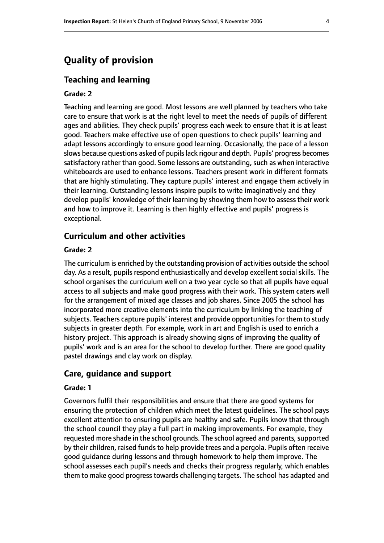## **Quality of provision**

#### **Teaching and learning**

#### **Grade: 2**

Teaching and learning are good. Most lessons are well planned by teachers who take care to ensure that work is at the right level to meet the needs of pupils of different ages and abilities. They check pupils' progress each week to ensure that it is at least good. Teachers make effective use of open questions to check pupils' learning and adapt lessons accordingly to ensure good learning. Occasionally, the pace of a lesson slows because questions asked of pupils lack rigour and depth. Pupils' progress becomes satisfactory rather than good. Some lessons are outstanding, such as when interactive whiteboards are used to enhance lessons. Teachers present work in different formats that are highly stimulating. They capture pupils' interest and engage them actively in their learning. Outstanding lessons inspire pupils to write imaginatively and they develop pupils' knowledge of their learning by showing them how to assess their work and how to improve it. Learning is then highly effective and pupils' progress is exceptional.

#### **Curriculum and other activities**

#### **Grade: 2**

The curriculum is enriched by the outstanding provision of activities outside the school day. As a result, pupils respond enthusiastically and develop excellent social skills. The school organises the curriculum well on a two year cycle so that all pupils have equal access to all subjects and make good progress with their work. This system caters well for the arrangement of mixed age classes and job shares. Since 2005 the school has incorporated more creative elements into the curriculum by linking the teaching of subjects. Teachers capture pupils' interest and provide opportunities for them to study subjects in greater depth. For example, work in art and English is used to enrich a history project. This approach is already showing signs of improving the quality of pupils' work and is an area for the school to develop further. There are good quality pastel drawings and clay work on display.

#### **Care, guidance and support**

#### **Grade: 1**

Governors fulfil their responsibilities and ensure that there are good systems for ensuring the protection of children which meet the latest guidelines. The school pays excellent attention to ensuring pupils are healthy and safe. Pupils know that through the school council they play a full part in making improvements. For example, they requested more shade in the school grounds. The school agreed and parents, supported by their children, raised funds to help provide trees and a pergola. Pupils often receive good guidance during lessons and through homework to help them improve. The school assesses each pupil's needs and checks their progress regularly, which enables them to make good progress towards challenging targets. The school has adapted and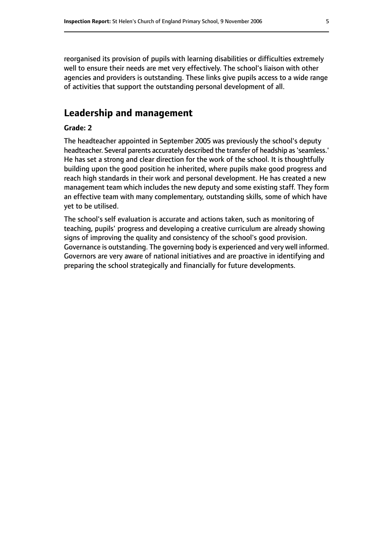reorganised its provision of pupils with learning disabilities or difficulties extremely well to ensure their needs are met very effectively. The school's liaison with other agencies and providers is outstanding. These links give pupils access to a wide range of activities that support the outstanding personal development of all.

## **Leadership and management**

#### **Grade: 2**

The headteacher appointed in September 2005 was previously the school's deputy headteacher. Several parents accurately described the transfer of headship as'seamless.' He has set a strong and clear direction for the work of the school. It is thoughtfully building upon the good position he inherited, where pupils make good progress and reach high standards in their work and personal development. He has created a new management team which includes the new deputy and some existing staff. They form an effective team with many complementary, outstanding skills, some of which have yet to be utilised.

The school's self evaluation is accurate and actions taken, such as monitoring of teaching, pupils' progress and developing a creative curriculum are already showing signs of improving the quality and consistency of the school's good provision. Governance is outstanding. The governing body is experienced and very well informed. Governors are very aware of national initiatives and are proactive in identifying and preparing the school strategically and financially for future developments.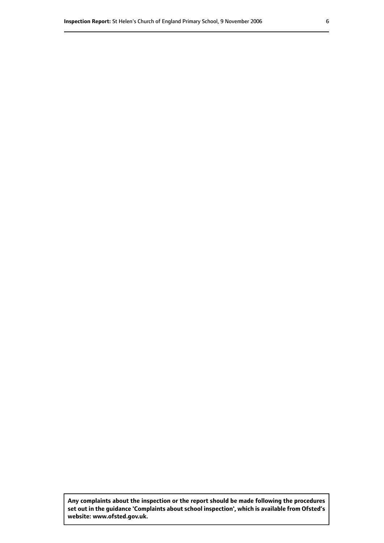**Any complaints about the inspection or the report should be made following the procedures set out inthe guidance 'Complaints about school inspection', whichis available from Ofsted's website: www.ofsted.gov.uk.**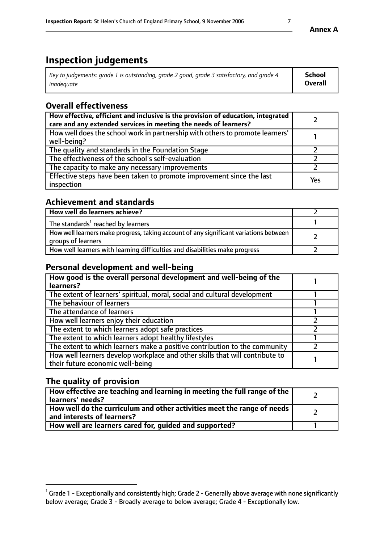# **Inspection judgements**

| Key to judgements: grade 1 is outstanding, grade 2 good, grade 3 satisfactory, and grade 4 | School         |
|--------------------------------------------------------------------------------------------|----------------|
| inadeauate                                                                                 | <b>Overall</b> |

## **Overall effectiveness**

| How effective, efficient and inclusive is the provision of education, integrated<br>care and any extended services in meeting the needs of learners? |     |
|------------------------------------------------------------------------------------------------------------------------------------------------------|-----|
| How well does the school work in partnership with others to promote learners'<br>well-being?                                                         |     |
| The quality and standards in the Foundation Stage                                                                                                    |     |
| The effectiveness of the school's self-evaluation                                                                                                    |     |
| The capacity to make any necessary improvements                                                                                                      |     |
| Effective steps have been taken to promote improvement since the last<br>inspection                                                                  | Yes |

## **Achievement and standards**

| How well do learners achieve?                                                                               |  |
|-------------------------------------------------------------------------------------------------------------|--|
| The standards <sup>1</sup> reached by learners                                                              |  |
| How well learners make progress, taking account of any significant variations between<br>groups of learners |  |
| How well learners with learning difficulties and disabilities make progress                                 |  |

## **Personal development and well-being**

| How good is the overall personal development and well-being of the<br>learners?                                  |  |
|------------------------------------------------------------------------------------------------------------------|--|
| The extent of learners' spiritual, moral, social and cultural development                                        |  |
| The behaviour of learners                                                                                        |  |
| The attendance of learners                                                                                       |  |
| How well learners enjoy their education                                                                          |  |
| The extent to which learners adopt safe practices                                                                |  |
| The extent to which learners adopt healthy lifestyles                                                            |  |
| The extent to which learners make a positive contribution to the community                                       |  |
| How well learners develop workplace and other skills that will contribute to<br>their future economic well-being |  |

## **The quality of provision**

| How effective are teaching and learning in meeting the full range of the<br>learners' needs?          |  |
|-------------------------------------------------------------------------------------------------------|--|
| How well do the curriculum and other activities meet the range of needs<br>and interests of learners? |  |
| How well are learners cared for, guided and supported?                                                |  |

 $^1$  Grade 1 - Exceptionally and consistently high; Grade 2 - Generally above average with none significantly below average; Grade 3 - Broadly average to below average; Grade 4 - Exceptionally low.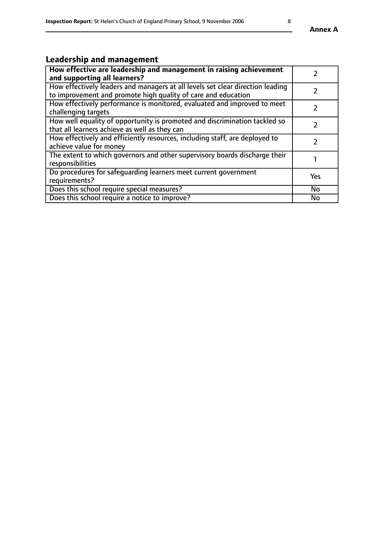# **Leadership and management**

| How effective are leadership and management in raising achievement<br>and supporting all learners?                                              |               |
|-------------------------------------------------------------------------------------------------------------------------------------------------|---------------|
| How effectively leaders and managers at all levels set clear direction leading<br>to improvement and promote high quality of care and education |               |
| How effectively performance is monitored, evaluated and improved to meet<br>challenging targets                                                 |               |
| How well equality of opportunity is promoted and discrimination tackled so<br>that all learners achieve as well as they can                     |               |
| How effectively and efficiently resources, including staff, are deployed to<br>achieve value for money                                          | $\mathcal{P}$ |
| The extent to which governors and other supervisory boards discharge their<br>responsibilities                                                  |               |
| Do procedures for safeguarding learners meet current government<br>requirements?                                                                | Yes           |
| Does this school require special measures?                                                                                                      | <b>No</b>     |
| Does this school require a notice to improve?                                                                                                   | <b>No</b>     |